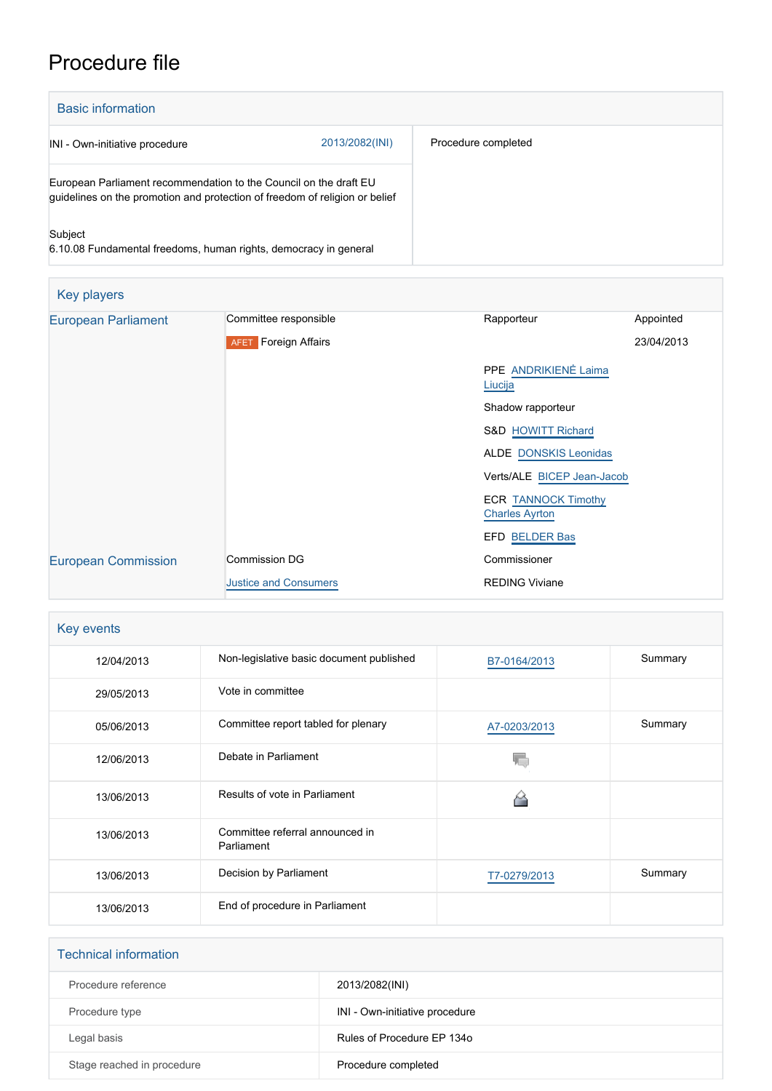## Procedure file

| <b>Basic information</b>                                                                                                                         |                |                     |
|--------------------------------------------------------------------------------------------------------------------------------------------------|----------------|---------------------|
| INI - Own-initiative procedure                                                                                                                   | 2013/2082(INI) | Procedure completed |
| European Parliament recommendation to the Council on the draft EU<br>guidelines on the promotion and protection of freedom of religion or belief |                |                     |
| Subject<br>6.10.08 Fundamental freedoms, human rights, democracy in general                                                                      |                |                     |

| Key players                |                              |                                                     |            |
|----------------------------|------------------------------|-----------------------------------------------------|------------|
| <b>European Parliament</b> | Committee responsible        | Rapporteur                                          | Appointed  |
|                            | <b>AFET</b> Foreign Affairs  |                                                     | 23/04/2013 |
|                            |                              | <b>PPE ANDRIKIENĖ Laima</b><br>Liucija              |            |
|                            |                              | Shadow rapporteur                                   |            |
|                            |                              | <b>S&amp;D HOWITT Richard</b>                       |            |
|                            |                              | <b>ALDE DONSKIS Leonidas</b>                        |            |
|                            |                              | Verts/ALE BICEP Jean-Jacob                          |            |
|                            |                              | <b>ECR TANNOCK Timothy</b><br><b>Charles Ayrton</b> |            |
|                            |                              | EFD BELDER Bas                                      |            |
| <b>European Commission</b> | Commission DG                | Commissioner                                        |            |
|                            | <b>Justice and Consumers</b> | <b>REDING Viviane</b>                               |            |

| Key events |                                               |              |         |
|------------|-----------------------------------------------|--------------|---------|
| 12/04/2013 | Non-legislative basic document published      | B7-0164/2013 | Summary |
| 29/05/2013 | Vote in committee                             |              |         |
| 05/06/2013 | Committee report tabled for plenary           | A7-0203/2013 | Summary |
| 12/06/2013 | Debate in Parliament                          |              |         |
| 13/06/2013 | Results of vote in Parliament                 |              |         |
| 13/06/2013 | Committee referral announced in<br>Parliament |              |         |
| 13/06/2013 | Decision by Parliament                        | T7-0279/2013 | Summary |
| 13/06/2013 | End of procedure in Parliament                |              |         |

| <b>Technical information</b> |                                |  |
|------------------------------|--------------------------------|--|
| Procedure reference          | 2013/2082(INI)                 |  |
| Procedure type               | INI - Own-initiative procedure |  |
| Legal basis                  | Rules of Procedure EP 1340     |  |
| Stage reached in procedure   | Procedure completed            |  |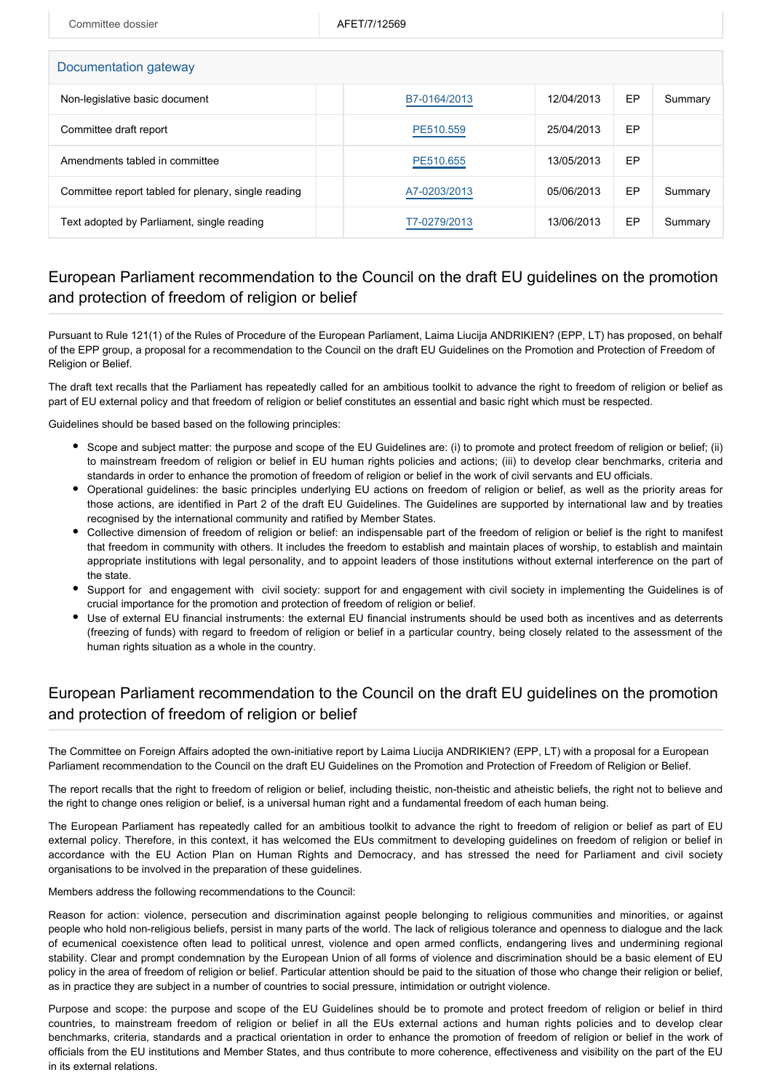| Committee dossier                                   | AFET/7/12569 |            |    |         |  |  |  |
|-----------------------------------------------------|--------------|------------|----|---------|--|--|--|
| Documentation gateway                               |              |            |    |         |  |  |  |
| Non-legislative basic document                      | B7-0164/2013 | 12/04/2013 | EP | Summary |  |  |  |
| Committee draft report                              | PE510.559    | 25/04/2013 | EP |         |  |  |  |
| Amendments tabled in committee                      | PE510.655    | 13/05/2013 | EP |         |  |  |  |
| Committee report tabled for plenary, single reading | A7-0203/2013 | 05/06/2013 | EP | Summary |  |  |  |
| Text adopted by Parliament, single reading          | T7-0279/2013 | 13/06/2013 | EP | Summary |  |  |  |

## European Parliament recommendation to the Council on the draft EU guidelines on the promotion and protection of freedom of religion or belief

Pursuant to Rule 121(1) of the Rules of Procedure of the European Parliament, Laima Liucija ANDRIKIEN? (EPP, LT) has proposed, on behalf of the EPP group, a proposal for a recommendation to the Council on the draft EU Guidelines on the Promotion and Protection of Freedom of Religion or Belief.

The draft text recalls that the Parliament has repeatedly called for an ambitious toolkit to advance the right to freedom of religion or belief as part of EU external policy and that freedom of religion or belief constitutes an essential and basic right which must be respected.

Guidelines should be based based on the following principles:

- Scope and subject matter: the purpose and scope of the EU Guidelines are: (i) to promote and protect freedom of religion or belief; (ii) to mainstream freedom of religion or belief in EU human rights policies and actions; (iii) to develop clear benchmarks, criteria and standards in order to enhance the promotion of freedom of religion or belief in the work of civil servants and EU officials.
- Operational guidelines: the basic principles underlying EU actions on freedom of religion or belief, as well as the priority areas for those actions, are identified in Part 2 of the draft EU Guidelines. The Guidelines are supported by international law and by treaties recognised by the international community and ratified by Member States.
- Collective dimension of freedom of religion or belief: an indispensable part of the freedom of religion or belief is the right to manifest that freedom in community with others. It includes the freedom to establish and maintain places of worship, to establish and maintain appropriate institutions with legal personality, and to appoint leaders of those institutions without external interference on the part of the state.
- Support for and engagement with civil society: support for and engagement with civil society in implementing the Guidelines is of crucial importance for the promotion and protection of freedom of religion or belief.
- Use of external EU financial instruments: the external EU financial instruments should be used both as incentives and as deterrents (freezing of funds) with regard to freedom of religion or belief in a particular country, being closely related to the assessment of the human rights situation as a whole in the country.

## European Parliament recommendation to the Council on the draft EU guidelines on the promotion and protection of freedom of religion or belief

The Committee on Foreign Affairs adopted the own-initiative report by Laima Liucija ANDRIKIEN? (EPP, LT) with a proposal for a European Parliament recommendation to the Council on the draft EU Guidelines on the Promotion and Protection of Freedom of Religion or Belief.

The report recalls that the right to freedom of religion or belief, including theistic, non-theistic and atheistic beliefs, the right not to believe and the right to change ones religion or belief, is a universal human right and a fundamental freedom of each human being.

The European Parliament has repeatedly called for an ambitious toolkit to advance the right to freedom of religion or belief as part of EU external policy. Therefore, in this context, it has welcomed the EUs commitment to developing guidelines on freedom of religion or belief in accordance with the EU Action Plan on Human Rights and Democracy, and has stressed the need for Parliament and civil society organisations to be involved in the preparation of these guidelines.

Members address the following recommendations to the Council:

Reason for action: violence, persecution and discrimination against people belonging to religious communities and minorities, or against people who hold non-religious beliefs, persist in many parts of the world. The lack of religious tolerance and openness to dialogue and the lack of ecumenical coexistence often lead to political unrest, violence and open armed conflicts, endangering lives and undermining regional stability. Clear and prompt condemnation by the European Union of all forms of violence and discrimination should be a basic element of EU policy in the area of freedom of religion or belief. Particular attention should be paid to the situation of those who change their religion or belief, as in practice they are subject in a number of countries to social pressure, intimidation or outright violence.

Purpose and scope: the purpose and scope of the EU Guidelines should be to promote and protect freedom of religion or belief in third countries, to mainstream freedom of religion or belief in all the EUs external actions and human rights policies and to develop clear benchmarks, criteria, standards and a practical orientation in order to enhance the promotion of freedom of religion or belief in the work of officials from the EU institutions and Member States, and thus contribute to more coherence, effectiveness and visibility on the part of the EU in its external relations.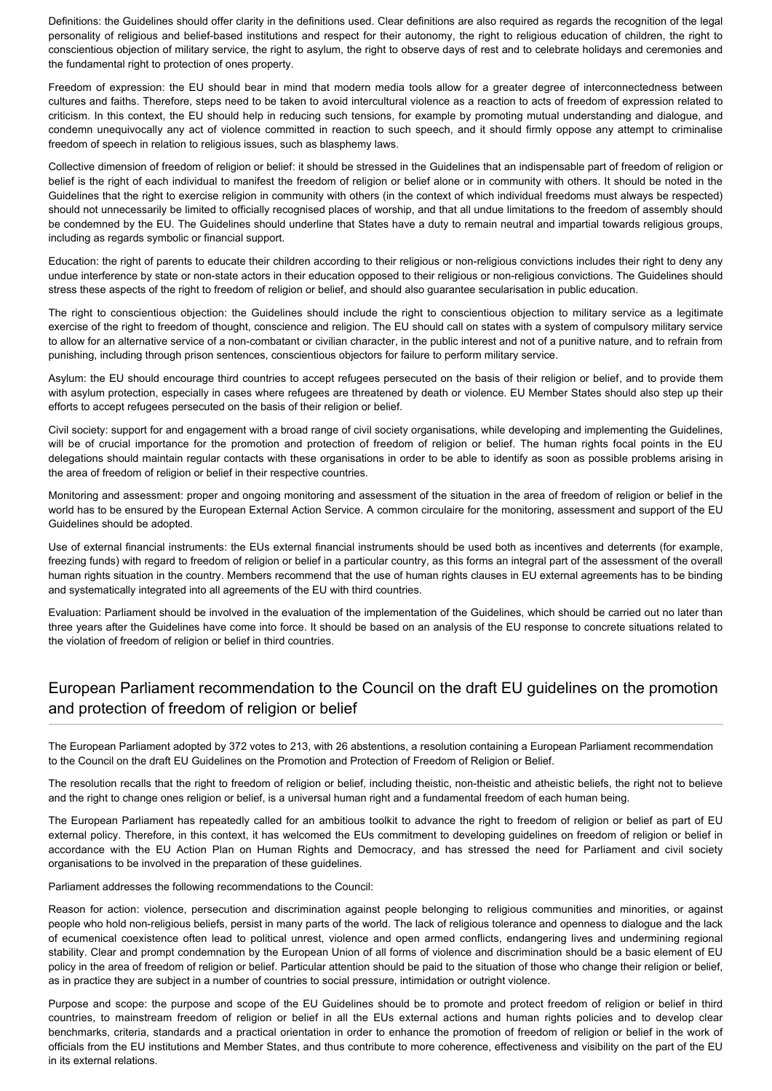Definitions: the Guidelines should offer clarity in the definitions used. Clear definitions are also required as regards the recognition of the legal personality of religious and belief-based institutions and respect for their autonomy, the right to religious education of children, the right to conscientious objection of military service, the right to asylum, the right to observe days of rest and to celebrate holidays and ceremonies and the fundamental right to protection of ones property.

Freedom of expression: the EU should bear in mind that modern media tools allow for a greater degree of interconnectedness between cultures and faiths. Therefore, steps need to be taken to avoid intercultural violence as a reaction to acts of freedom of expression related to criticism. In this context, the EU should help in reducing such tensions, for example by promoting mutual understanding and dialogue, and condemn unequivocally any act of violence committed in reaction to such speech, and it should firmly oppose any attempt to criminalise freedom of speech in relation to religious issues, such as blasphemy laws.

Collective dimension of freedom of religion or belief: it should be stressed in the Guidelines that an indispensable part of freedom of religion or belief is the right of each individual to manifest the freedom of religion or belief alone or in community with others. It should be noted in the Guidelines that the right to exercise religion in community with others (in the context of which individual freedoms must always be respected) should not unnecessarily be limited to officially recognised places of worship, and that all undue limitations to the freedom of assembly should be condemned by the EU. The Guidelines should underline that States have a duty to remain neutral and impartial towards religious groups, including as regards symbolic or financial support.

Education: the right of parents to educate their children according to their religious or non-religious convictions includes their right to deny any undue interference by state or non-state actors in their education opposed to their religious or non-religious convictions. The Guidelines should stress these aspects of the right to freedom of religion or belief, and should also guarantee secularisation in public education.

The right to conscientious objection: the Guidelines should include the right to conscientious objection to military service as a legitimate exercise of the right to freedom of thought, conscience and religion. The EU should call on states with a system of compulsory military service to allow for an alternative service of a non-combatant or civilian character, in the public interest and not of a punitive nature, and to refrain from punishing, including through prison sentences, conscientious objectors for failure to perform military service.

Asylum: the EU should encourage third countries to accept refugees persecuted on the basis of their religion or belief, and to provide them with asylum protection, especially in cases where refugees are threatened by death or violence. EU Member States should also step up their efforts to accept refugees persecuted on the basis of their religion or belief.

Civil society: support for and engagement with a broad range of civil society organisations, while developing and implementing the Guidelines, will be of crucial importance for the promotion and protection of freedom of religion or belief. The human rights focal points in the EU delegations should maintain regular contacts with these organisations in order to be able to identify as soon as possible problems arising in the area of freedom of religion or belief in their respective countries.

Monitoring and assessment: proper and ongoing monitoring and assessment of the situation in the area of freedom of religion or belief in the world has to be ensured by the European External Action Service. A common circulaire for the monitoring, assessment and support of the EU Guidelines should be adopted.

Use of external financial instruments: the EUs external financial instruments should be used both as incentives and deterrents (for example, freezing funds) with regard to freedom of religion or belief in a particular country, as this forms an integral part of the assessment of the overall human rights situation in the country. Members recommend that the use of human rights clauses in EU external agreements has to be binding and systematically integrated into all agreements of the EU with third countries.

Evaluation: Parliament should be involved in the evaluation of the implementation of the Guidelines, which should be carried out no later than three years after the Guidelines have come into force. It should be based on an analysis of the EU response to concrete situations related to the violation of freedom of religion or belief in third countries.

## European Parliament recommendation to the Council on the draft EU guidelines on the promotion and protection of freedom of religion or belief

The European Parliament adopted by 372 votes to 213, with 26 abstentions, a resolution containing a European Parliament recommendation to the Council on the draft EU Guidelines on the Promotion and Protection of Freedom of Religion or Belief.

The resolution recalls that the right to freedom of religion or belief, including theistic, non-theistic and atheistic beliefs, the right not to believe and the right to change ones religion or belief, is a universal human right and a fundamental freedom of each human being.

The European Parliament has repeatedly called for an ambitious toolkit to advance the right to freedom of religion or belief as part of EU external policy. Therefore, in this context, it has welcomed the EUs commitment to developing guidelines on freedom of religion or belief in accordance with the EU Action Plan on Human Rights and Democracy, and has stressed the need for Parliament and civil society organisations to be involved in the preparation of these guidelines.

Parliament addresses the following recommendations to the Council:

Reason for action: violence, persecution and discrimination against people belonging to religious communities and minorities, or against people who hold non-religious beliefs, persist in many parts of the world. The lack of religious tolerance and openness to dialogue and the lack of ecumenical coexistence often lead to political unrest, violence and open armed conflicts, endangering lives and undermining regional stability. Clear and prompt condemnation by the European Union of all forms of violence and discrimination should be a basic element of EU policy in the area of freedom of religion or belief. Particular attention should be paid to the situation of those who change their religion or belief, as in practice they are subject in a number of countries to social pressure, intimidation or outright violence.

Purpose and scope: the purpose and scope of the EU Guidelines should be to promote and protect freedom of religion or belief in third countries, to mainstream freedom of religion or belief in all the EUs external actions and human rights policies and to develop clear benchmarks, criteria, standards and a practical orientation in order to enhance the promotion of freedom of religion or belief in the work of officials from the EU institutions and Member States, and thus contribute to more coherence, effectiveness and visibility on the part of the EU in its external relations.